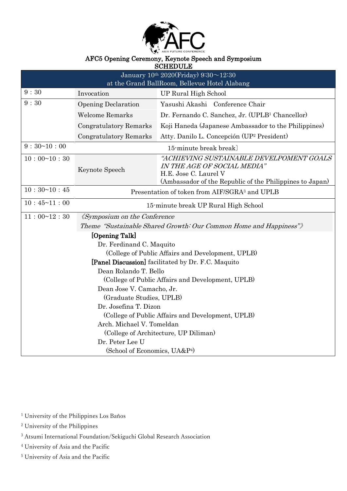

#### AFC5 Opening Ceremony, Keynote Speech and Symposium

| <b>SCHEDULE</b>                                                   |                                                           |                                                                                   |
|-------------------------------------------------------------------|-----------------------------------------------------------|-----------------------------------------------------------------------------------|
| January $10^{th}$ 2020(Friday) 9:30~12:30                         |                                                           |                                                                                   |
| at the Grand BallRoom, Bellevue Hotel Alabang                     |                                                           |                                                                                   |
| 9:30                                                              | Invocation                                                | <b>UP Rural High School</b>                                                       |
| 9:30                                                              | <b>Opening Declaration</b>                                | Yasushi Akashi Conference Chair                                                   |
|                                                                   | <b>Welcome Remarks</b>                                    | Dr. Fernando C. Sanchez, Jr. (UPLB <sup>1</sup> Chancellor)                       |
|                                                                   | <b>Congratulatory Remarks</b>                             | Koji Haneda (Japanese Ambassador to the Philippines)                              |
|                                                                   | <b>Congratulatory Remarks</b>                             | Atty. Danilo L. Concepción (UP <sup>2</sup> President)                            |
| 9:30~10:00                                                        | 15-minute break break)                                    |                                                                                   |
| 10:00~10:30                                                       |                                                           | "ACHIEVING SUSTAINABLE DEVELPOMENT GOALS                                          |
|                                                                   | Keynote Speech                                            | IN THE AGE OF SOCIAL MEDIA"                                                       |
|                                                                   |                                                           | H.E. Jose C. Laurel V<br>(Ambassador of the Republic of the Philippines to Japan) |
| 10:30~10:45                                                       |                                                           |                                                                                   |
|                                                                   | Presentation of token from AIF/SGRA <sup>3</sup> and UPLB |                                                                                   |
| 10:45~11:00                                                       | 15-minute break UP Rural High School                      |                                                                                   |
| 11:00~12:30                                                       | <i><u><b>(Symposium on the Conference)</b></u></i>        |                                                                                   |
| Theme "Sustainable Shared Growth: Our Common Home and Happiness") |                                                           |                                                                                   |
| [Opening Talk]                                                    |                                                           |                                                                                   |
| Dr. Ferdinand C. Maquito                                          |                                                           |                                                                                   |
| (College of Public Affairs and Development, UPLB)                 |                                                           |                                                                                   |
| [Panel Discussion] facilitated by Dr. F.C. Maquito                |                                                           |                                                                                   |
| Dean Rolando T. Bello                                             |                                                           |                                                                                   |
| (College of Public Affairs and Development, UPLB)                 |                                                           |                                                                                   |
| Dean Jose V. Camacho, Jr.                                         |                                                           |                                                                                   |
| (Graduate Studies, UPLB)                                          |                                                           |                                                                                   |
| Dr. Josefina T. Dizon                                             |                                                           |                                                                                   |
| (College of Public Affairs and Development, UPLB)                 |                                                           |                                                                                   |
| Arch. Michael V. Tomeldan                                         |                                                           |                                                                                   |
| (College of Architecture, UP Diliman)                             |                                                           |                                                                                   |
| Dr. Peter Lee U                                                   |                                                           |                                                                                   |
| (School of Economics, UA&P <sup>4)</sup>                          |                                                           |                                                                                   |
|                                                                   |                                                           |                                                                                   |

<sup>1</sup> University of the Philippines Los Baños

<sup>2</sup> University of the Philippines

<sup>3</sup> Atsumi International Foundation/Sekiguchi Global Research Association

<sup>4</sup> University of Asia and the Pacific

<sup>5</sup> University of Asia and the Pacific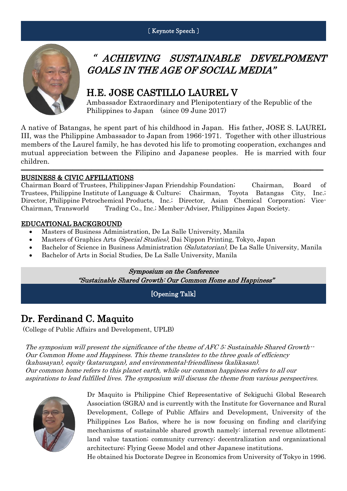〔 Keynote Speech 〕



# " ACHIEVING SUSTAINABLE DEVELPOMENT GOALS IN THE AGE OF SOCIAL MEDIA"

## H.E. JOSE CASTILLO LAUREL V

Ambassador Extraordinary and Plenipotentiary of the Republic of the Philippines to Japan (since 09 June 2017)

A native of Batangas, he spent part of his childhood in Japan. His father, JOSE S. LAUREL III, was the Philippine Ambassador to Japan from 1966-1971. Together with other illustrious members of the Laurel family, he has devoted his life to promoting cooperation, exchanges and mutual appreciation between the Filipino and Japanese peoples. He is married with four children.

―――――――――――――――――――――――――――――――――――――――――――――――

#### BUSINESS & CIVIC AFFILIATIONS

Chairman Board of Trustees, Philippines-Japan Friendship Foundation; Chairman, Board of Trustees, Philippine Institute of Language & Culture; Chairman, Toyota Batangas City, Inc.; Director, Philippine Petrochemical Products, Inc.; Director, Asian Chemical Corporation; Vice-Chairman, Transworld Trading Co., Inc.; Member-Adviser, Philippines Japan Society.

#### EDUCATIONAL BACKGROUND

- Masters of Business Administration, De La Salle University, Manila
- Masters of Graphics Arts *(Special Studies)*, Dai Nippon Printing, Tokyo, Japan
- Bachelor of Science in Business Administration (Salutatorian), De La Salle University, Manila
- Bachelor of Arts in Social Studies, De La Salle University, Manila

Symposium on the Conference "Sustainable Shared Growth: Our Common Home and Happiness"

[Opening Talk]

## Dr. Ferdinand C. Maquito

(College of Public Affairs and Development, UPLB)

The symposium will present the significance of the theme of AFC 5: Sustainable Shared Growth--Our Common Home and Happiness. This theme translates to the three goals of efficiency (kahusayan), equity (katarungan), and environmental-friendliness (kalikasan). Our common home refers to this planet earth, while our common happiness refers to all our aspirations to lead fulfilled lives. The symposium will discuss the theme from various perspectives.



Dr Maquito is Philippine Chief Representative of Sekiguchi Global Research Association (SGRA) and is currently with the Institute for Governance and Rural Development, College of Public Affairs and Development, University of the Philippines Los Baños, where he is now focusing on finding and clarifying mechanisms of sustainable shared growth namely: internal revenue allotment; land value taxation; community currency; decentralization and organizational architecture; Flying Geese Model and other Japanese institutions.

He obtained his Doctorate Degree in Economics from University of Tokyo in 1996.